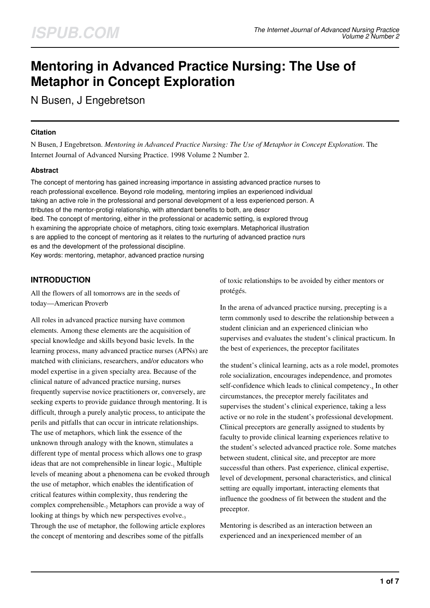# **Mentoring in Advanced Practice Nursing: The Use of Metaphor in Concept Exploration**

N Busen, J Engebretson

#### **Citation**

N Busen, J Engebretson. *Mentoring in Advanced Practice Nursing: The Use of Metaphor in Concept Exploration*. The Internet Journal of Advanced Nursing Practice. 1998 Volume 2 Number 2.

## **Abstract**

The concept of mentoring has gained increasing importance in assisting advanced practice nurses to reach professional excellence. Beyond role modeling, mentoring implies an experienced individual taking an active role in the professional and personal development of a less experienced person. A ttributes of the mentor-protigi relationship, with attendant benefits to both, are descr ibed. The concept of mentoring, either in the professional or academic setting, is explored throug h examining the appropriate choice of metaphors, citing toxic exemplars. Metaphorical illustration s are applied to the concept of mentoring as it relates to the nurturing of advanced practice nurs es and the development of the professional discipline. Key words: mentoring, metaphor, advanced practice nursing

# **INTRODUCTION**

All the flowers of all tomorrows are in the seeds of today—American Proverb

All roles in advanced practice nursing have common elements. Among these elements are the acquisition of special knowledge and skills beyond basic levels. In the learning process, many advanced practice nurses (APNs) are matched with clinicians, researchers, and/or educators who model expertise in a given specialty area. Because of the clinical nature of advanced practice nursing, nurses frequently supervise novice practitioners or, conversely, are seeking experts to provide guidance through mentoring. It is difficult, through a purely analytic process, to anticipate the perils and pitfalls that can occur in intricate relationships. The use of metaphors, which link the essence of the unknown through analogy with the known, stimulates a different type of mental process which allows one to grasp ideas that are not comprehensible in linear logic.<sub>1</sub> Multiple levels of meaning about a phenomena can be evoked through the use of metaphor, which enables the identification of critical features within complexity, thus rendering the complex comprehensible.<sub>2</sub> Metaphors can provide a way of looking at things by which new perspectives evolve. $_3$ Through the use of metaphor, the following article explores the concept of mentoring and describes some of the pitfalls

of toxic relationships to be avoided by either mentors or protégés.

In the arena of advanced practice nursing, precepting is a term commonly used to describe the relationship between a student clinician and an experienced clinician who supervises and evaluates the student's clinical practicum. In the best of experiences, the preceptor facilitates

the student's clinical learning, acts as a role model, promotes role socialization, encourages independence, and promotes self-confidence which leads to clinical competency.4 In other circumstances, the preceptor merely facilitates and supervises the student's clinical experience, taking a less active or no role in the student's professional development. Clinical preceptors are generally assigned to students by faculty to provide clinical learning experiences relative to the student's selected advanced practice role. Some matches between student, clinical site, and preceptor are more successful than others. Past experience, clinical expertise, level of development, personal characteristics, and clinical setting are equally important, interacting elements that influence the goodness of fit between the student and the preceptor.

Mentoring is described as an interaction between an experienced and an inexperienced member of an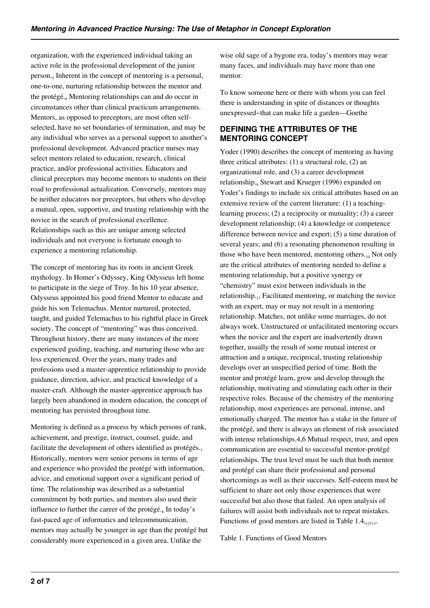organization, with the experienced individual taking an active role in the professional development of the junior person.<sub>5</sub> Inherent in the concept of mentoring is a personal, one-to-one, nurturing relationship between the mentor and the protégé.<sub>6</sub> Mentoring relationships can and do occur in circumstances other than clinical practicum arrangements. Mentors, as opposed to preceptors, are most often selfselected, have no set boundaries of termination, and may be any individual who serves as a personal support to another's professional development. Advanced practice nurses may select mentors related to education, research, clinical practice, and/or professional activities. Educators and clinical preceptors may become mentors to students on their road to professional actualization. Conversely, mentors may be neither educators nor preceptors, but others who develop a mutual, open, supportive, and trusting relationship with the novice in the search of professional excellence. Relationships such as this are unique among selected individuals and not everyone is fortunate enough to experience a mentoring relationship.

The concept of mentoring has its roots in ancient Greek mythology. In Homer's Odyssey, King Odysseus left home to participate in the siege of Troy. In his 10 year absence, Odysseus appointed his good friend Mentor to educate and guide his son Telemachus. Mentor nurtured, protected, taught, and guided Telemachus to his rightful place in Greek society. The concept of "mentoring" was thus conceived. Throughout history, there are many instances of the more experienced guiding, teaching, and nurturing those who are less experienced. Over the years, many trades and professions used a master-apprentice relationship to provide guidance, direction, advice, and practical knowledge of a master-craft. Although the master-apprentice approach has largely been abandoned in modern education, the concept of mentoring has persisted throughout time.

Mentoring is defined as a process by which persons of rank, achievement, and prestige, instruct, counsel, guide, and facilitate the development of others identified as protégés. $<sub>7</sub>$ </sub> Historically, mentors were senior persons in terms of age and experience who provided the protégé with information, advice, and emotional support over a significant period of time. The relationship was described as a substantial commitment by both parties, and mentors also used their influence to further the career of the protégé.<sub>8</sub> In today's fast-paced age of informatics and telecommunication, mentors may actually be younger in age than the protégé but considerably more experienced in a given area. Unlike the

wise old sage of a bygone era, today's mentors may wear many faces, and individuals may have more than one mentor.

To know someone here or there with whom you can feel there is understanding in spite of distances or thoughts unexpressed~that can make life a garden—Goethe

# **DEFINING THE ATTRIBUTES OF THE MENTORING CONCEPT**

Yoder (1990) describes the concept of mentoring as having three critical attributes: (1) a structural role, (2) an organizational role, and (3) a career development relationship., Stewart and Krueger (1996) expanded on Yoder's findings to include six critical attributes based on an extensive review of the current literature: (1) a teachinglearning process; (2) a reciprocity or mutuality; (3) a career development relationship; (4) a knowledge or competence difference between novice and expert; (5) a time duration of several years; and (6) a resonating phenomenon resulting in those who have been mentored, mentoring others. $_{10}$  Not only are the critical attributes of mentoring needed to define a mentoring relationship, but a positive synergy or "chemistry" must exist between individuals in the relationship.<sub>11</sub> Facilitated mentoring, or matching the novice with an expert, may or may not result in a mentoring relationship. Matches, not unlike some marriages, do not always work. Unstructured or unfacilitated mentoring occurs when the novice and the expert are inadvertently drawn together, usually the result of some mutual interest or attraction and a unique, reciprocal, trusting relationship develops over an unspecified period of time. Both the mentor and protégé learn, grow and develop through the relationship, motivating and stimulating each other in their respective roles. Because of the chemistry of the mentoring relationship, most experiences are personal, intense, and emotionally charged. The mentor has a stake in the future of the protégé, and there is always an element of risk associated with intense relationships.4,6 Mutual respect, trust, and open communication are essential to successful mentor-protégé relationships. The trust level must be such that both mentor and protégé can share their professional and personal shortcomings as well as their successes. Self-esteem must be sufficient to share not only those experiences that were successful but also those that failed. An open analysis of failures will assist both individuals not to repeat mistakes. Functions of good mentors are listed in Table  $1.4,12,13$ .

Table 1. Functions of Good Mentors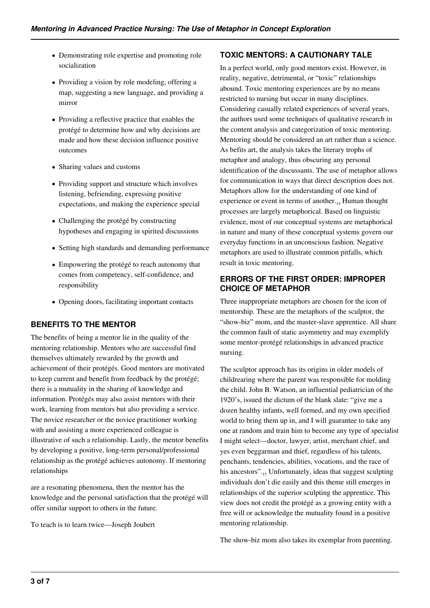- Demonstrating role expertise and promoting role socialization
- Providing a vision by role modeling, offering a map, suggesting a new language, and providing a mirror
- Providing a reflective practice that enables the protégé to determine how and why decisions are made and how these decision influence positive outcomes
- Sharing values and customs
- Providing support and structure which involves listening, befriending, expressing positive expectations, and making the experience special
- Challenging the protégé by constructing hypotheses and engaging in spirited discussions
- Setting high standards and demanding performance
- Empowering the protégé to reach autonomy that comes from competency, self-confidence, and responsibility
- Opening doors, facilitating important contacts

# **BENEFITS TO THE MENTOR**

The benefits of being a mentor lie in the quality of the mentoring relationship. Mentors who are successful find themselves ultimately rewarded by the growth and achievement of their protégés. Good mentors are motivated to keep current and benefit from feedback by the protégé; there is a mutuality in the sharing of knowledge and information. Protégés may also assist mentors with their work, learning from mentors but also providing a service. The novice researcher or the novice practitioner working with and assisting a more experienced colleague is illustrative of such a relationship. Lastly, the mentor benefits by developing a positive, long-term personal/professional relationship as the protégé achieves autonomy. If mentoring relationships

are a resonating phenomena, then the mentor has the knowledge and the personal satisfaction that the protégé will offer similar support to others in the future.

To teach is to learn twice—Joseph Joubert

#### **TOXIC MENTORS: A CAUTIONARY TALE**

In a perfect world, only good mentors exist. However, in reality, negative, detrimental, or "toxic" relationships abound. Toxic mentoring experiences are by no means restricted to nursing but occur in many disciplines. Considering casually related experiences of several years, the authors used some techniques of qualitative research in the content analysis and categorization of toxic mentoring. Mentoring should be considered an art rather than a science. As befits art, the analysis takes the literary trophs of metaphor and analogy, thus obscuring any personal identification of the discussants. The use of metaphor allows for communication in ways that direct description does not. Metaphors allow for the understanding of one kind of experience or event in terms of another. $_{14}$  Human thought processes are largely metaphorical. Based on linguistic evidence, most of our conceptual systems are metaphorical in nature and many of these conceptual systems govern our everyday functions in an unconscious fashion. Negative metaphors are used to illustrate common pitfalls, which result in toxic mentoring.

## **ERRORS OF THE FIRST ORDER: IMPROPER CHOICE OF METAPHOR**

Three inappropriate metaphors are chosen for the icon of mentorship. These are the metaphors of the sculptor, the "show-biz" mom, and the master-slave apprentice. All share the common fault of static asymmetry and may exemplify some mentor-protégé relationships in advanced practice nursing.

The sculptor approach has its origins in older models of childrearing where the parent was responsible for molding the child. John B. Watson, an influential pediatrician of the 1920's, issued the dictum of the blank slate: "give me a dozen healthy infants, well formed, and my own specified world to bring them up in, and I will guarantee to take any one at random and train him to become any type of specialist I might select—doctor, lawyer, artist, merchant chief, and yes even beggarman and thief, regardless of his talents, penchants, tendencies, abilities, vocations, and the race of his ancestors"..., Unfortunately, ideas that suggest sculpting individuals don't die easily and this theme still emerges in relationships of the superior sculpting the apprentice. This view does not credit the protégé as a growing entity with a free will or acknowledge the mutuality found in a positive mentoring relationship.

The show-biz mom also takes its exemplar from parenting.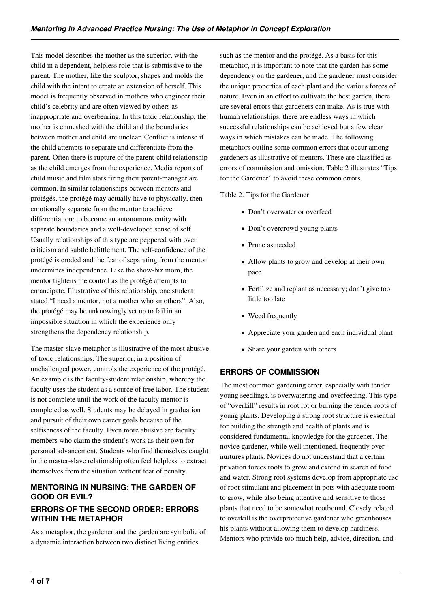This model describes the mother as the superior, with the child in a dependent, helpless role that is submissive to the parent. The mother, like the sculptor, shapes and molds the child with the intent to create an extension of herself. This model is frequently observed in mothers who engineer their child's celebrity and are often viewed by others as inappropriate and overbearing. In this toxic relationship, the mother is enmeshed with the child and the boundaries between mother and child are unclear. Conflict is intense if the child attempts to separate and differentiate from the parent. Often there is rupture of the parent-child relationship as the child emerges from the experience. Media reports of child music and film stars firing their parent-manager are common. In similar relationships between mentors and protégés, the protégé may actually have to physically, then emotionally separate from the mentor to achieve differentiation: to become an autonomous entity with separate boundaries and a well-developed sense of self. Usually relationships of this type are peppered with over criticism and subtle belittlement. The self-confidence of the protégé is eroded and the fear of separating from the mentor undermines independence. Like the show-biz mom, the mentor tightens the control as the protégé attempts to emancipate. Illustrative of this relationship, one student stated "I need a mentor, not a mother who smothers". Also, the protégé may be unknowingly set up to fail in an impossible situation in which the experience only strengthens the dependency relationship.

The master-slave metaphor is illustrative of the most abusive of toxic relationships. The superior, in a position of unchallenged power, controls the experience of the protégé. An example is the faculty-student relationship, whereby the faculty uses the student as a source of free labor. The student is not complete until the work of the faculty mentor is completed as well. Students may be delayed in graduation and pursuit of their own career goals because of the selfishness of the faculty. Even more abusive are faculty members who claim the student's work as their own for personal advancement. Students who find themselves caught in the master-slave relationship often feel helpless to extract themselves from the situation without fear of penalty.

## **MENTORING IN NURSING: THE GARDEN OF GOOD OR EVIL?**

## **ERRORS OF THE SECOND ORDER: ERRORS WITHIN THE METAPHOR**

As a metaphor, the gardener and the garden are symbolic of a dynamic interaction between two distinct living entities

such as the mentor and the protégé. As a basis for this metaphor, it is important to note that the garden has some dependency on the gardener, and the gardener must consider the unique properties of each plant and the various forces of nature. Even in an effort to cultivate the best garden, there are several errors that gardeners can make. As is true with human relationships, there are endless ways in which successful relationships can be achieved but a few clear ways in which mistakes can be made. The following metaphors outline some common errors that occur among gardeners as illustrative of mentors. These are classified as errors of commission and omission. Table 2 illustrates "Tips for the Gardener" to avoid these common errors.

Table 2. Tips for the Gardener

- Don't overwater or overfeed
- Don't overcrowd young plants
- Prune as needed
- Allow plants to grow and develop at their own pace
- Fertilize and replant as necessary; don't give too little too late
- Weed frequently
- Appreciate your garden and each individual plant
- Share your garden with others

# **ERRORS OF COMMISSION**

The most common gardening error, especially with tender young seedlings, is overwatering and overfeeding. This type of "overkill" results in root rot or burning the tender roots of young plants. Developing a strong root structure is essential for building the strength and health of plants and is considered fundamental knowledge for the gardener. The novice gardener, while well intentioned, frequently overnurtures plants. Novices do not understand that a certain privation forces roots to grow and extend in search of food and water. Strong root systems develop from appropriate use of root stimulant and placement in pots with adequate room to grow, while also being attentive and sensitive to those plants that need to be somewhat rootbound. Closely related to overkill is the overprotective gardener who greenhouses his plants without allowing them to develop hardiness. Mentors who provide too much help, advice, direction, and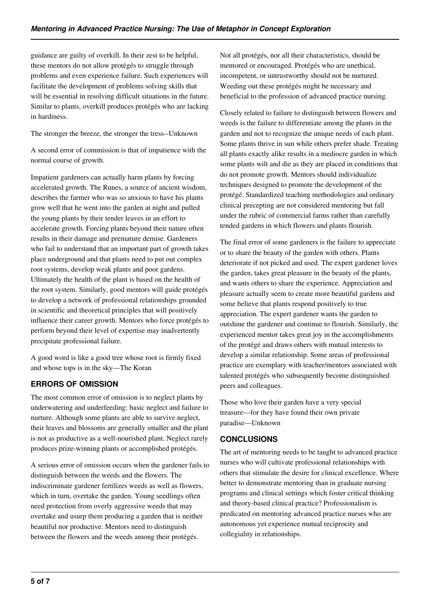guidance are guilty of overkill. In their zest to be helpful, these mentors do not allow protégés to struggle through problems and even experience failure. Such experiences will facilitate the development of problems solving skills that will be essential in resolving difficult situations in the future. Similar to plants, overkill produces protégés who are lacking in hardiness.

The stronger the breeze, the stronger the tress--Unknown

A second error of commission is that of impatience with the normal course of growth.

Impatient gardeners can actually harm plants by forcing accelerated growth. The Runes, a source of ancient wisdom, describes the farmer who was so anxious to have his plants grow well that he went into the garden at night and pulled the young plants by their tender leaves in an effort to accelerate growth. Forcing plants beyond their nature often results in their damage and premature demise. Gardeners who fail to understand that an important part of growth takes place underground and that plants need to put out complex root systems, develop weak plants and poor gardens. Ultimately the health of the plant is based on the health of the root system. Similarly, good mentors will guide protégés to develop a network of professional relationships grounded in scientific and theoretical principles that will positively influence their career growth. Mentors who force protégés to perform beyond their level of expertise may inadvertently precipitate professional failure.

A good word is like a good tree whose root is firmly fixed and whose tops is in the sky—The Koran

# **ERRORS OF OMISSION**

The most common error of omission is to neglect plants by underwatering and underfeeding: basic neglect and failure to nurture. Although some plants are able to survive neglect, their leaves and blossoms are generally smaller and the plant is not as productive as a well-nourished plant. Neglect rarely produces prize-winning plants or accomplished protégés.

A serious error of omission occurs when the gardener fails to distinguish between the weeds and the flowers. The indiscriminate gardener fertilizes weeds as well as flowers, which in turn, overtake the garden. Young seedlings often need protection from overly aggressive weeds that may overtake and usurp them producing a garden that is neither beautiful nor productive. Mentors need to distinguish between the flowers and the weeds among their protégés.

Not all protégés, nor all their characteristics, should be mentored or encouraged. Protégés who are unethical, incompetent, or untrustworthy should not be nurtured. Weeding out these protégés might be necessary and beneficial to the profession of advanced practice nursing.

Closely related to failure to distinguish between flowers and weeds is the failure to differentiate among the plants in the garden and not to recognize the unique needs of each plant. Some plants thrive in sun while others prefer shade. Treating all plants exactly alike results in a mediocre garden in which some plants wilt and die as they are placed in conditions that do not promote growth. Mentors should individualize techniques designed to promote the development of the protégé. Standardized teaching methodologies and ordinary clinical precepting are not considered mentoring but fall under the rubric of commercial farms rather than carefully tended gardens in which flowers and plants flourish.

The final error of some gardeners is the failure to appreciate or to share the beauty of the garden with others. Plants deteriorate if not picked and used. The expert gardener loves the garden, takes great pleasure in the beauty of the plants, and wants others to share the experience. Appreciation and pleasure actually seem to create more beautiful gardens and some believe that plants respond positively to true appreciation. The expert gardener wants the garden to outshine the gardener and continue to flourish. Similarly, the experienced mentor takes great joy in the accomplishments of the protégé and draws others with mutual interests to develop a similar relationship. Some areas of professional practice are exemplary with teacher/mentors associated with talented protégés who subsequently become distinguished peers and colleagues.

Those who love their garden have a very special treasure—for they have found their own private paradise—Unknown

## **CONCLUSIONS**

The art of mentoring needs to be taught to advanced practice nurses who will cultivate professional relationships with others that stimulate the desire for clinical excellence. Where better to demonstrate mentoring than in graduate nursing programs and clinical settings which foster critical thinking and theory-based clinical practice? Professionalism is predicated on mentoring advanced practice nurses who are autonomous yet experience mutual reciprocity and collegiality in relationships.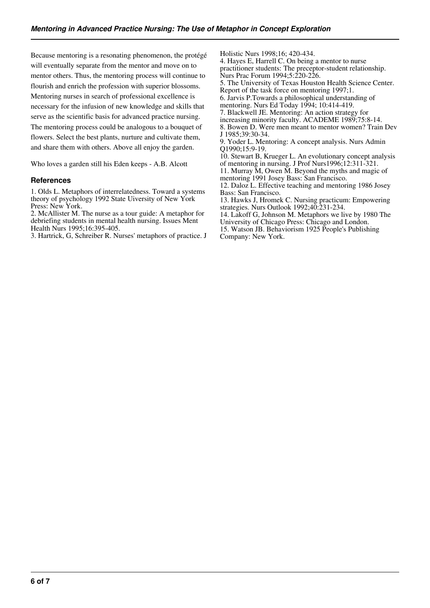Because mentoring is a resonating phenomenon, the protégé will eventually separate from the mentor and move on to mentor others. Thus, the mentoring process will continue to flourish and enrich the profession with superior blossoms. Mentoring nurses in search of professional excellence is necessary for the infusion of new knowledge and skills that serve as the scientific basis for advanced practice nursing. The mentoring process could be analogous to a bouquet of flowers. Select the best plants, nurture and cultivate them, and share them with others. Above all enjoy the garden.

Who loves a garden still his Eden keeps - A.B. Alcott

#### **References**

1. Olds L. Metaphors of interrelatedness. Toward a systems theory of psychology 1992 State Uiversity of New York Press: New York.

2. McAllister M. The nurse as a tour guide: A metaphor for debriefing students in mental health nursing. Issues Ment Health Nurs 1995;16:395-405.

3. Hartrick, G, Schreiber R. Nurses' metaphors of practice. J

Holistic Nurs 1998;16; 420-434. 4. Hayes E, Harrell C. On being a mentor to nurse practitioner students: The preceptor-student relationship. Nurs Prac Forum 1994;5:220-226. 5. The University of Texas Houston Health Science Center. Report of the task force on mentoring 1997;1. 6. Jarvis P.Towards a philosophical understanding of mentoring. Nurs Ed Today 1994; 10:414-419. 7. Blackwell JE. Mentoring: An action strategy for increasing minority faculty. ACADEME 1989;75:8-14. 8. Bowen D. Were men meant to mentor women? Train Dev J 1985;39:30-34. 9. Yoder L. Mentoring: A concept analysis. Nurs Admin Q1990;15:9-19. 10. Stewart B, Krueger L. An evolutionary concept analysis of mentoring in nursing. J Prof Nurs1996;12:311-321. 11. Murray M, Owen M. Beyond the myths and magic of mentoring 1991 Josey Bass: San Francisco. 12. Daloz L. Effective teaching and mentoring 1986 Josey Bass: San Francisco. 13. Hawks J, Hromek C. Nursing practicum: Empowering strategies. Nurs Outlook 1992;40:231-234. 14. Lakoff G, Johnson M. Metaphors we live by 1980 The University of Chicago Press: Chicago and London.

15. Watson JB. Behaviorism 1925 People's Publishing Company: New York.